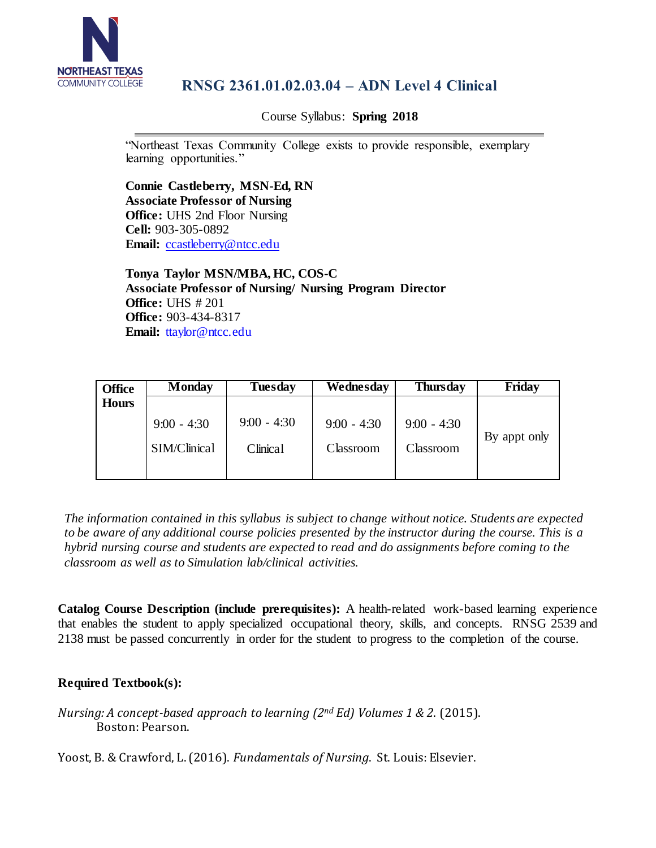

# **RNSG 2361.01.02.03.04 – ADN Level 4 Clinical**

Course Syllabus: **Spring 2018**

"Northeast Texas Community College exists to provide responsible, exemplary learning opportunities."

**Connie Castleberry, MSN-Ed, RN Associate Professor of Nursing Office:** UHS 2nd Floor Nursing **Cell:** 903-305-0892 **Email:** [ccastleberry@ntcc.edu](mailto:ccastleberry@ntcc.edu)

**Tonya Taylor MSN/MBA, HC, COS-C Associate Professor of Nursing/ Nursing Program Director Office:** UHS # 201 **Office:** 903-434-8317 **Email:** [ttaylor@ntcc.edu](mailto:ttaylor@ntcc.edu)

| <b>Office</b> | Monday                        | <b>Tuesday</b>            | Wednesday                  | Thursday                   | Friday       |
|---------------|-------------------------------|---------------------------|----------------------------|----------------------------|--------------|
| <b>Hours</b>  |                               |                           |                            |                            |              |
|               | $9:00 - 4:30$<br>SIM/Clinical | $9:00 - 4:30$<br>Clinical | $9:00 - 4:30$<br>Classroom | $9:00 - 4:30$<br>Classroom | By appt only |

*The information contained in this syllabus is subject to change without notice. Students are expected to be aware of any additional course policies presented by the instructor during the course. This is a hybrid nursing course and students are expected to read and do assignments before coming to the classroom as well as to Simulation lab/clinical activities.*

**Catalog Course Description (include prerequisites):** A health-related work-based learning experience that enables the student to apply specialized occupational theory, skills, and concepts. RNSG 2539 and 2138 must be passed concurrently in order for the student to progress to the completion of the course.

# **Required Textbook(s):**

*Nursing: A concept-based approach to learning (2nd Ed) Volumes 1 & 2*. (2015). Boston: Pearson.

Yoost, B. & Crawford, L. (2016). *Fundamentals of Nursing*. St. Louis: Elsevier.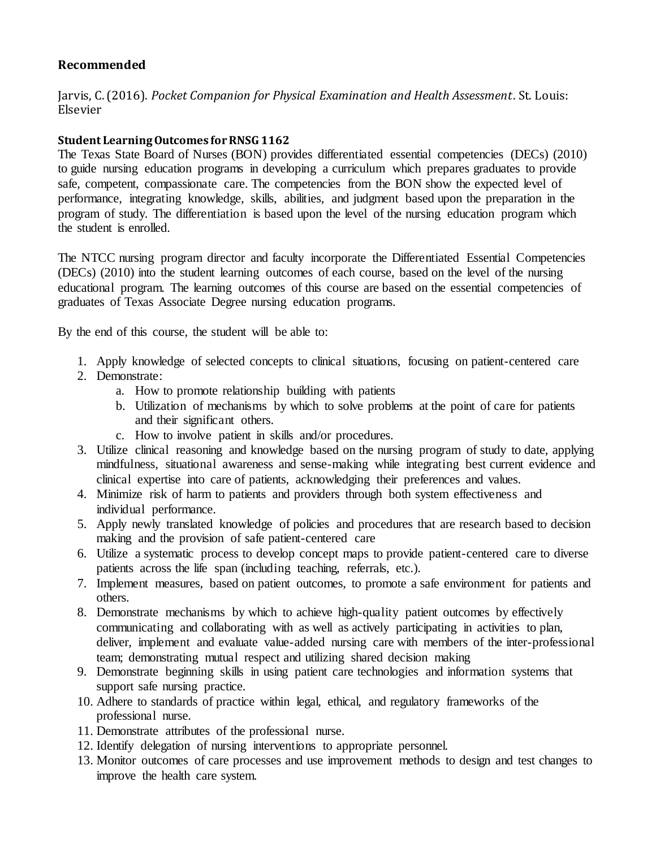# **Recommended**

Jarvis, C. (2016). *Pocket Companion for Physical Examination and Health Assessment*. St. Louis: Elsevier

# **Student Learning Outcomes for RNSG 1162**

The Texas State Board of Nurses (BON) provides differentiated essential competencies (DECs) (2010) to guide nursing education programs in developing a curriculum which prepares graduates to provide safe, competent, compassionate care. The competencies from the BON show the expected level of performance, integrating knowledge, skills, abilities, and judgment based upon the preparation in the program of study. The differentiation is based upon the level of the nursing education program which the student is enrolled.

The NTCC nursing program director and faculty incorporate the Differentiated Essential Competencies (DECs) (2010) into the student learning outcomes of each course, based on the level of the nursing educational program. The learning outcomes of this course are based on the essential competencies of graduates of Texas Associate Degree nursing education programs.

By the end of this course, the student will be able to:

- 1. Apply knowledge of selected concepts to clinical situations, focusing on patient-centered care
- 2. Demonstrate:
	- a. How to promote relationship building with patients
	- b. Utilization of mechanisms by which to solve problems at the point of care for patients and their significant others.
	- c. How to involve patient in skills and/or procedures.
- 3. Utilize clinical reasoning and knowledge based on the nursing program of study to date, applying mindfulness, situational awareness and sense-making while integrating best current evidence and clinical expertise into care of patients, acknowledging their preferences and values.
- 4. Minimize risk of harm to patients and providers through both system effectiveness and individual performance.
- 5. Apply newly translated knowledge of policies and procedures that are research based to decision making and the provision of safe patient-centered care
- 6. Utilize a systematic process to develop concept maps to provide patient-centered care to diverse patients across the life span (including teaching, referrals, etc.).
- 7. Implement measures, based on patient outcomes, to promote a safe environment for patients and others.
- 8. Demonstrate mechanisms by which to achieve high-quality patient outcomes by effectively communicating and collaborating with as well as actively participating in activities to plan, deliver, implement and evaluate value-added nursing care with members of the inter-professional team; demonstrating mutual respect and utilizing shared decision making
- 9. Demonstrate beginning skills in using patient care technologies and information systems that support safe nursing practice.
- 10. Adhere to standards of practice within legal, ethical, and regulatory frameworks of the professional nurse.
- 11. Demonstrate attributes of the professional nurse.
- 12. Identify delegation of nursing interventions to appropriate personnel.
- 13. Monitor outcomes of care processes and use improvement methods to design and test changes to improve the health care system.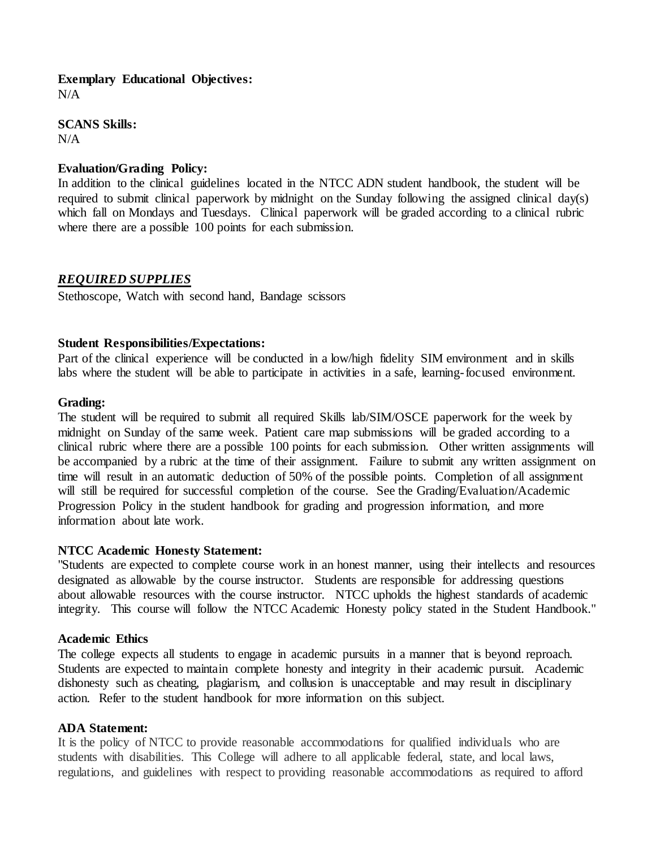# **Exemplary Educational Objectives:**

 $N/A$ 

**SCANS Skills:**  $N/A$ 

## **Evaluation/Grading Policy:**

In addition to the clinical guidelines located in the NTCC ADN student handbook, the student will be required to submit clinical paperwork by midnight on the Sunday following the assigned clinical day(s) which fall on Mondays and Tuesdays. Clinical paperwork will be graded according to a clinical rubric where there are a possible 100 points for each submission.

## *REQUIRED SUPPLIES*

Stethoscope, Watch with second hand, Bandage scissors

## **Student Responsibilities/Expectations:**

Part of the clinical experience will be conducted in a low/high fidelity SIM environment and in skills labs where the student will be able to participate in activities in a safe, learning-focused environment.

## **Grading:**

The student will be required to submit all required Skills lab/SIM/OSCE paperwork for the week by midnight on Sunday of the same week. Patient care map submissions will be graded according to a clinical rubric where there are a possible 100 points for each submission. Other written assignments will be accompanied by a rubric at the time of their assignment. Failure to submit any written assignment on time will result in an automatic deduction of 50% of the possible points. Completion of all assignment will still be required for successful completion of the course. See the Grading/Evaluation/Academic Progression Policy in the student handbook for grading and progression information, and more information about late work.

#### **NTCC Academic Honesty Statement:**

"Students are expected to complete course work in an honest manner, using their intellects and resources designated as allowable by the course instructor. Students are responsible for addressing questions about allowable resources with the course instructor. NTCC upholds the highest standards of academic integrity. This course will follow the NTCC Academic Honesty policy stated in the Student Handbook."

#### **Academic Ethics**

The college expects all students to engage in academic pursuits in a manner that is beyond reproach. Students are expected to maintain complete honesty and integrity in their academic pursuit. Academic dishonesty such as cheating, plagiarism, and collusion is unacceptable and may result in disciplinary action. Refer to the student handbook for more information on this subject.

#### **ADA Statement:**

It is the policy of NTCC to provide reasonable accommodations for qualified individuals who are students with disabilities. This College will adhere to all applicable federal, state, and local laws, regulations, and guidelines with respect to providing reasonable accommodations as required to afford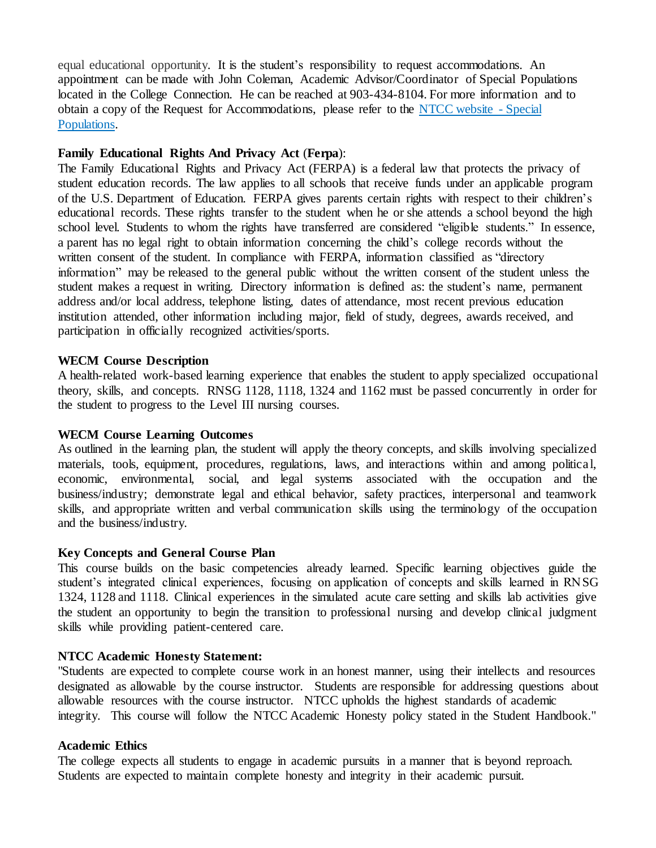equal educational opportunity. It is the student's responsibility to request accommodations. An appointment can be made with John Coleman, Academic Advisor/Coordinator of Special Populations located in the College Connection. He can be reached at 903-434-8104. For more information and to obtain a copy of the Request for Accommodations, please refer to the NTCC [website -](http://www.ntcc.edu/index.php?module=Pagesetter&func=viewpub&tid=111&pid=1) Special [Populations.](http://www.ntcc.edu/index.php?module=Pagesetter&func=viewpub&tid=111&pid=1)

## **Family Educational Rights And Privacy Act** (**Ferpa**):

The Family Educational Rights and Privacy Act (FERPA) is a federal law that protects the privacy of student education records. The law applies to all schools that receive funds under an applicable program of the U.S. Department of Education. FERPA gives parents certain rights with respect to their children's educational records. These rights transfer to the student when he or she attends a school beyond the high school level. Students to whom the rights have transferred are considered "eligible students." In essence, a parent has no legal right to obtain information concerning the child's college records without the written consent of the student. In compliance with FERPA, information classified as "directory information" may be released to the general public without the written consent of the student unless the student makes a request in writing. Directory information is defined as: the student's name, permanent address and/or local address, telephone listing, dates of attendance, most recent previous education institution attended, other information including major, field of study, degrees, awards received, and participation in officially recognized activities/sports.

## **WECM Course Description**

A health-related work-based learning experience that enables the student to apply specialized occupational theory, skills, and concepts. RNSG 1128, 1118, 1324 and 1162 must be passed concurrently in order for the student to progress to the Level III nursing courses.

#### **WECM Course Learning Outcomes**

As outlined in the learning plan, the student will apply the theory concepts, and skills involving specialized materials, tools, equipment, procedures, regulations, laws, and interactions within and among political, economic, environmental, social, and legal systems associated with the occupation and the business/industry; demonstrate legal and ethical behavior, safety practices, interpersonal and teamwork skills, and appropriate written and verbal communication skills using the terminology of the occupation and the business/industry.

#### **Key Concepts and General Course Plan**

This course builds on the basic competencies already learned. Specific learning objectives guide the student's integrated clinical experiences, focusing on application of concepts and skills learned in RNSG 1324, 1128 and 1118. Clinical experiences in the simulated acute care setting and skills lab activities give the student an opportunity to begin the transition to professional nursing and develop clinical judgment skills while providing patient-centered care.

#### **NTCC Academic Honesty Statement:**

"Students are expected to complete course work in an honest manner, using their intellects and resources designated as allowable by the course instructor. Students are responsible for addressing questions about allowable resources with the course instructor. NTCC upholds the highest standards of academic integrity. This course will follow the NTCC Academic Honesty policy stated in the Student Handbook."

## **Academic Ethics**

The college expects all students to engage in academic pursuits in a manner that is beyond reproach. Students are expected to maintain complete honesty and integrity in their academic pursuit.